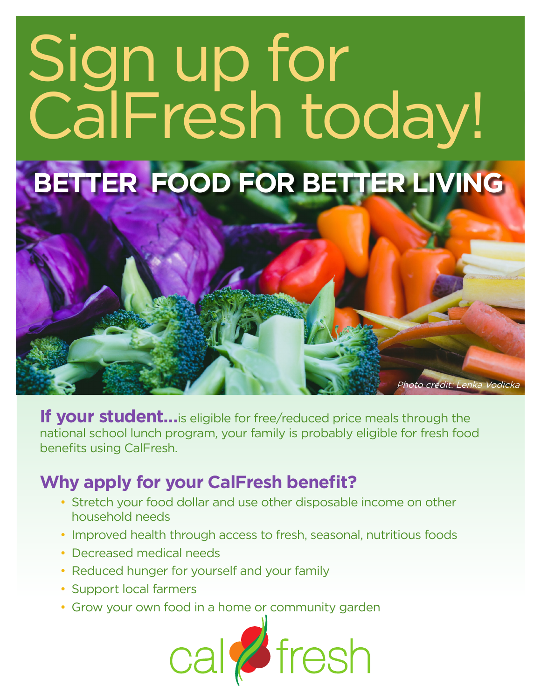# Sign up for CalFresh today!

## **BETTER FOOD FOR BETTER LIVING**

**If your student…** is eligible for free/reduced price meals through the national school lunch program, your family is probably eligible for fresh food benefits using CalFresh.

Photo credit: Lenka Vodicka

#### **Why apply for your CalFresh benefit?**

- Stretch your food dollar and use other disposable income on other household needs
- Improved health through access to fresh, seasonal, nutritious foods
- Decreased medical needs
- Reduced hunger for yourself and your family
- Support local farmers
- Grow your own food in a home or community garden